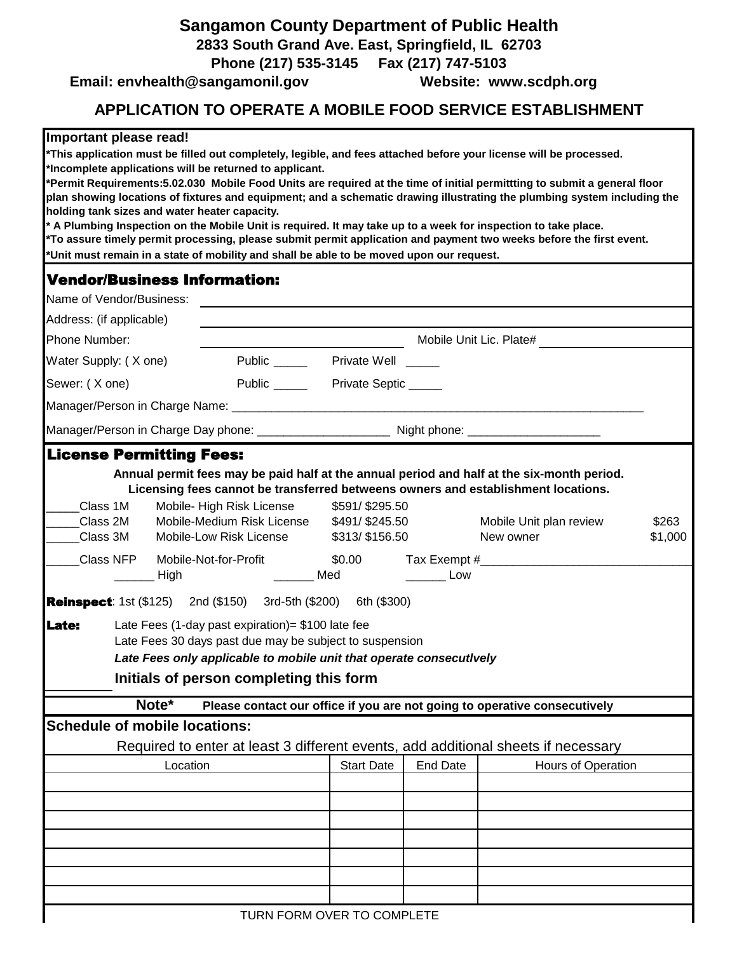## **Sangamon County Department of Public Health**

**2833 South Grand Ave. East, Springfield, IL 62703**

**Phone (217) 535-3145 Fax (217) 747-5103** 

Email: envhealth@sangamonil.gov Website: www.scdph.org

## **APPLICATION TO OPERATE A MOBILE FOOD SERVICE ESTABLISHMENT**

## **Important please read!**

**\*This application must be filled out completely, legible, and fees attached before your license will be processed. \*Incomplete applications will be returned to applicant.**

**\*Permit Requirements:5.02.030 Mobile Food Units are required at the time of initial permittting to submit a general floor plan showing locations of fixtures and equipment; and a schematic drawing illustrating the plumbing system including the holding tank sizes and water heater capacity.**

**\*To assure timely permit processing, please submit permit application and payment two weeks before the first event. \*Unit must remain in a state of mobility and shall be able to be moved upon our request. \* A Plumbing Inspection on the Mobile Unit is required. It may take up to a week for inspection to take place.** 

## Vendor/Business Information:

| Name of Vendor/Business:             |                                                                                                                                                                                                                                 |                                          |                 |                                                                           |                  |
|--------------------------------------|---------------------------------------------------------------------------------------------------------------------------------------------------------------------------------------------------------------------------------|------------------------------------------|-----------------|---------------------------------------------------------------------------|------------------|
| Address: (if applicable)             |                                                                                                                                                                                                                                 |                                          |                 |                                                                           |                  |
| Phone Number:                        |                                                                                                                                                                                                                                 |                                          |                 | Mobile Unit Lic. Plate#                                                   |                  |
| Water Supply: (X one)                |                                                                                                                                                                                                                                 | Public _________ Private Well ______     |                 |                                                                           |                  |
| Sewer: (X one)                       |                                                                                                                                                                                                                                 | Public ___________ Private Septic ______ |                 |                                                                           |                  |
|                                      |                                                                                                                                                                                                                                 |                                          |                 |                                                                           |                  |
|                                      |                                                                                                                                                                                                                                 |                                          |                 |                                                                           |                  |
| <b>License Permitting Fees:</b>      |                                                                                                                                                                                                                                 |                                          |                 |                                                                           |                  |
| Class 1M                             | Annual permit fees may be paid half at the annual period and half at the six-month period.<br>Licensing fees cannot be transferred betweens owners and establishment locations.<br>Mobile-High Risk License                     | \$591/\$295.50                           |                 |                                                                           |                  |
| Class 2M<br>Class 3M                 | Mobile-Medium Risk License \$491/\$245.50<br>Mobile-Low Risk License                                                                                                                                                            | \$313/ \$156.50                          |                 | Mobile Unit plan review<br>New owner                                      | \$263<br>\$1,000 |
| Class NFP                            | Mobile-Not-for-Profit<br>Med<br>_ High                                                                                                                                                                                          | \$0.00                                   | Low             | Tax Exempt #                                                              |                  |
|                                      | <b>Reinspect</b> : 1st (\$125) 2nd (\$150) 3rd-5th (\$200) 6th (\$300)                                                                                                                                                          |                                          |                 |                                                                           |                  |
| Late:                                | Late Fees (1-day past expiration) = \$100 late fee<br>Late Fees 30 days past due may be subject to suspension<br>Late Fees only applicable to mobile unit that operate consecutively<br>Initials of person completing this form |                                          |                 |                                                                           |                  |
| Note*                                |                                                                                                                                                                                                                                 |                                          |                 | Please contact our office if you are not going to operative consecutively |                  |
| <b>Schedule of mobile locations:</b> | Required to enter at least 3 different events, add additional sheets if necessary                                                                                                                                               |                                          |                 |                                                                           |                  |
|                                      | Location                                                                                                                                                                                                                        | <b>Start Date</b>                        | <b>End Date</b> | Hours of Operation                                                        |                  |
|                                      |                                                                                                                                                                                                                                 |                                          |                 |                                                                           |                  |
|                                      |                                                                                                                                                                                                                                 |                                          |                 |                                                                           |                  |
|                                      |                                                                                                                                                                                                                                 |                                          |                 |                                                                           |                  |
|                                      |                                                                                                                                                                                                                                 |                                          |                 |                                                                           |                  |
|                                      |                                                                                                                                                                                                                                 |                                          |                 |                                                                           |                  |
|                                      |                                                                                                                                                                                                                                 |                                          |                 |                                                                           |                  |
|                                      |                                                                                                                                                                                                                                 | TURN FORM OVER TO COMPLETE               |                 |                                                                           |                  |